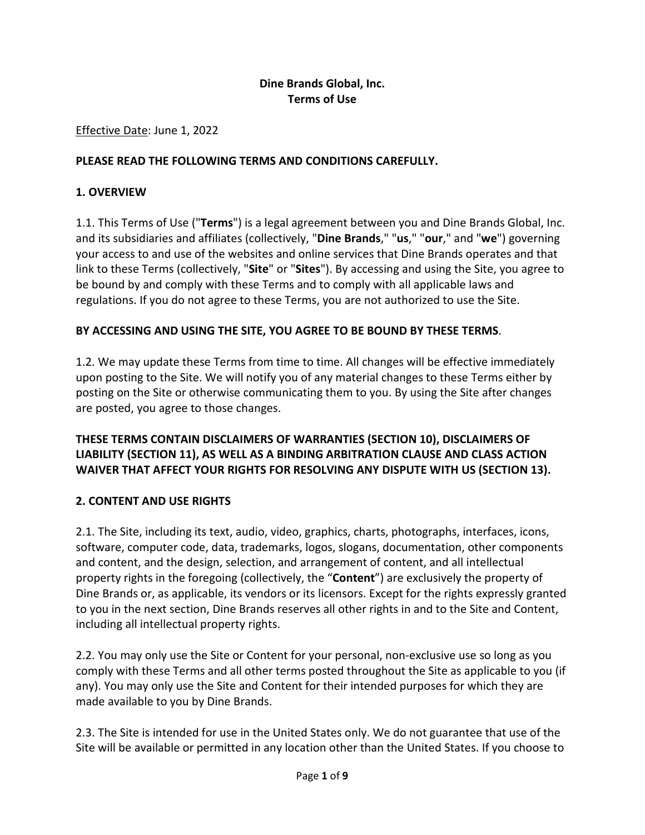## **Dine Brands Global, Inc. Terms of Use**

#### Effective Date: June 1, 2022

#### **PLEASE READ THE FOLLOWING TERMS AND CONDITIONS CAREFULLY.**

#### **1. OVERVIEW**

1.1. This Terms of Use ("**Terms**") is a legal agreement between you and Dine Brands Global, Inc. and its subsidiaries and affiliates (collectively, "**Dine Brands**," "**us**," "**our**," and "**we**") governing your access to and use of the websites and online services that Dine Brands operates and that link to these Terms (collectively, "**Site**" or "**Sites**"). By accessing and using the Site, you agree to be bound by and comply with these Terms and to comply with all applicable laws and regulations. If you do not agree to these Terms, you are not authorized to use the Site.

### **BY ACCESSING AND USING THE SITE, YOU AGREE TO BE BOUND BY THESE TERMS**.

1.2. We may update these Terms from time to time. All changes will be effective immediately upon posting to the Site. We will notify you of any material changes to these Terms either by posting on the Site or otherwise communicating them to you. By using the Site after changes are posted, you agree to those changes.

## **THESE TERMS CONTAIN DISCLAIMERS OF WARRANTIES (SECTION 10), DISCLAIMERS OF LIABILITY (SECTION 11), AS WELL AS A BINDING ARBITRATION CLAUSE AND CLASS ACTION WAIVER THAT AFFECT YOUR RIGHTS FOR RESOLVING ANY DISPUTE WITH US (SECTION 13).**

#### **2. CONTENT AND USE RIGHTS**

2.1. The Site, including its text, audio, video, graphics, charts, photographs, interfaces, icons, software, computer code, data, trademarks, logos, slogans, documentation, other components and content, and the design, selection, and arrangement of content, and all intellectual property rights in the foregoing (collectively, the "**Content**") are exclusively the property of Dine Brands or, as applicable, its vendors or its licensors. Except for the rights expressly granted to you in the next section, Dine Brands reserves all other rights in and to the Site and Content, including all intellectual property rights.

2.2. You may only use the Site or Content for your personal, non-exclusive use so long as you comply with these Terms and all other terms posted throughout the Site as applicable to you (if any). You may only use the Site and Content for their intended purposes for which they are made available to you by Dine Brands.

2.3. The Site is intended for use in the United States only. We do not guarantee that use of the Site will be available or permitted in any location other than the United States. If you choose to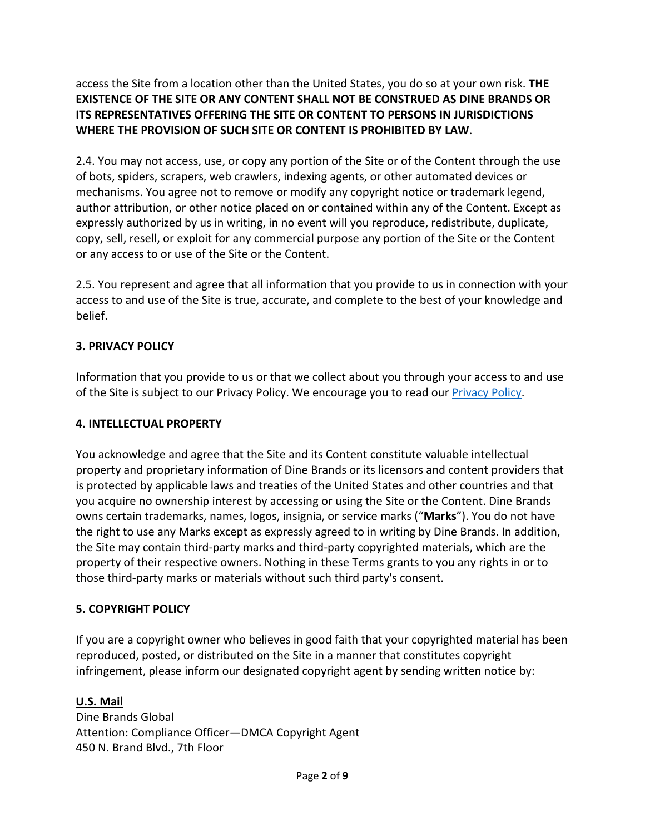access the Site from a location other than the United States, you do so at your own risk. **THE EXISTENCE OF THE SITE OR ANY CONTENT SHALL NOT BE CONSTRUED AS DINE BRANDS OR ITS REPRESENTATIVES OFFERING THE SITE OR CONTENT TO PERSONS IN JURISDICTIONS WHERE THE PROVISION OF SUCH SITE OR CONTENT IS PROHIBITED BY LAW**.

2.4. You may not access, use, or copy any portion of the Site or of the Content through the use of bots, spiders, scrapers, web crawlers, indexing agents, or other automated devices or mechanisms. You agree not to remove or modify any copyright notice or trademark legend, author attribution, or other notice placed on or contained within any of the Content. Except as expressly authorized by us in writing, in no event will you reproduce, redistribute, duplicate, copy, sell, resell, or exploit for any commercial purpose any portion of the Site or the Content or any access to or use of the Site or the Content.

2.5. You represent and agree that all information that you provide to us in connection with your access to and use of the Site is true, accurate, and complete to the best of your knowledge and belief.

### **3. PRIVACY POLICY**

Information that you provide to us or that we collect about you through your access to and use of the Site is subject to our [Privacy Policy.](https://www.dinebrands.com/privacy-policy) We encourage you to read our **Privacy Policy**.

## **4. INTELLECTUAL PROPERTY**

You acknowledge and agree that the Site and its Content constitute valuable intellectual property and proprietary information of Dine Brands or its licensors and content providers that is protected by applicable laws and treaties of the United States and other countries and that you acquire no ownership interest by accessing or using the Site or the Content. Dine Brands owns certain trademarks, names, logos, insignia, or service marks ("**Marks**"). You do not have the right to use any Marks except as expressly agreed to in writing by Dine Brands. In addition, the Site may contain third-party marks and third-party copyrighted materials, which are the property of their respective owners. Nothing in these Terms grants to you any rights in or to those third-party marks or materials without such third party's consent.

### **5. COPYRIGHT POLICY**

If you are a copyright owner who believes in good faith that your copyrighted material has been reproduced, posted, or distributed on the Site in a manner that constitutes copyright infringement, please inform our designated copyright agent by sending written notice by:

# **U.S. Mail**

Dine Brands Global Attention: Compliance Officer—DMCA Copyright Agent 450 N. Brand Blvd., 7th Floor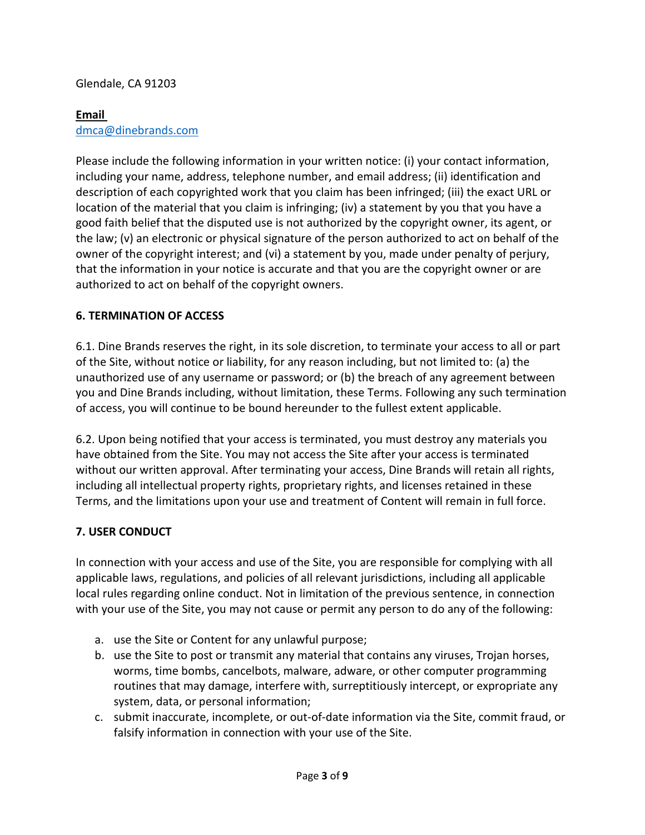## Glendale, CA 91203

### **Email**

## [dmca@dinebrands.com](mailto:dmca@dinebrands.com)

Please include the following information in your written notice: (i) your contact information, including your name, address, telephone number, and email address; (ii) identification and description of each copyrighted work that you claim has been infringed; (iii) the exact URL or location of the material that you claim is infringing; (iv) a statement by you that you have a good faith belief that the disputed use is not authorized by the copyright owner, its agent, or the law; (v) an electronic or physical signature of the person authorized to act on behalf of the owner of the copyright interest; and (vi) a statement by you, made under penalty of perjury, that the information in your notice is accurate and that you are the copyright owner or are authorized to act on behalf of the copyright owners.

### **6. TERMINATION OF ACCESS**

6.1. Dine Brands reserves the right, in its sole discretion, to terminate your access to all or part of the Site, without notice or liability, for any reason including, but not limited to: (a) the unauthorized use of any username or password; or (b) the breach of any agreement between you and Dine Brands including, without limitation, these Terms. Following any such termination of access, you will continue to be bound hereunder to the fullest extent applicable.

6.2. Upon being notified that your access is terminated, you must destroy any materials you have obtained from the Site. You may not access the Site after your access is terminated without our written approval. After terminating your access, Dine Brands will retain all rights, including all intellectual property rights, proprietary rights, and licenses retained in these Terms, and the limitations upon your use and treatment of Content will remain in full force.

### **7. USER CONDUCT**

In connection with your access and use of the Site, you are responsible for complying with all applicable laws, regulations, and policies of all relevant jurisdictions, including all applicable local rules regarding online conduct. Not in limitation of the previous sentence, in connection with your use of the Site, you may not cause or permit any person to do any of the following:

- a. use the Site or Content for any unlawful purpose;
- b. use the Site to post or transmit any material that contains any viruses, Trojan horses, worms, time bombs, cancelbots, malware, adware, or other computer programming routines that may damage, interfere with, surreptitiously intercept, or expropriate any system, data, or personal information;
- c. submit inaccurate, incomplete, or out-of-date information via the Site, commit fraud, or falsify information in connection with your use of the Site.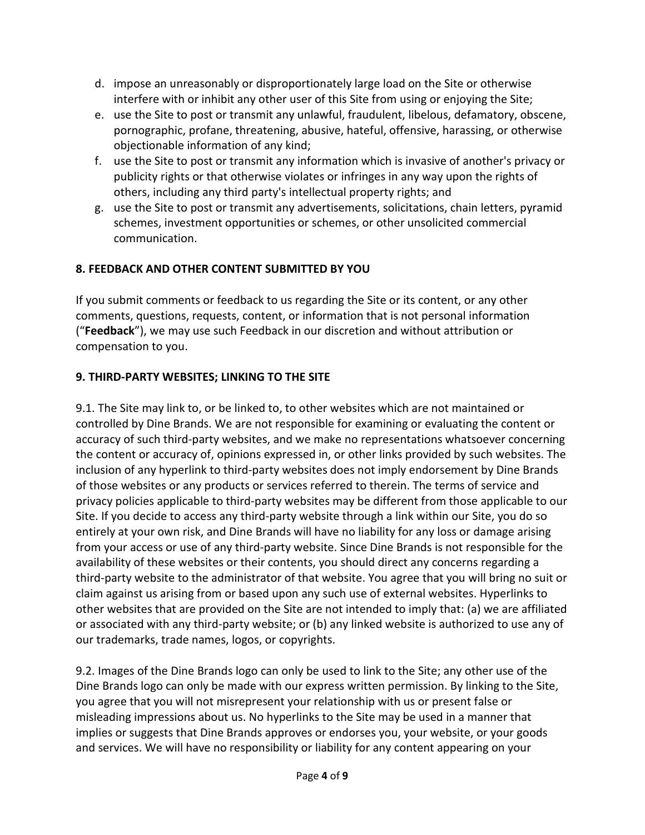- d. impose an unreasonably or disproportionately large load on the Site or otherwise interfere with or inhibit any other user of this Site from using or enjoying the Site;
- e. use the Site to post or transmit any unlawful, fraudulent, libelous, defamatory, obscene, pornographic, profane, threatening, abusive, hateful, offensive, harassing, or otherwise objectionable information of any kind;
- f. use the Site to post or transmit any information which is invasive of another's privacy or publicity rights or that otherwise violates or infringes in any way upon the rights of others, including any third party's intellectual property rights; and
- g. use the Site to post or transmit any advertisements, solicitations, chain letters, pyramid schemes, investment opportunities or schemes, or other unsolicited commercial communication.

# **8. FEEDBACK AND OTHER CONTENT SUBMITTED BY YOU**

If you submit comments or feedback to us regarding the Site or its content, or any other comments, questions, requests, content, or information that is not personal information ("**Feedback**"), we may use such Feedback in our discretion and without attribution or compensation to you.

# **9. THIRD-PARTY WEBSITES; LINKING TO THE SITE**

9.1. The Site may link to, or be linked to, to other websites which are not maintained or controlled by Dine Brands. We are not responsible for examining or evaluating the content or accuracy of such third-party websites, and we make no representations whatsoever concerning the content or accuracy of, opinions expressed in, or other links provided by such websites. The inclusion of any hyperlink to third-party websites does not imply endorsement by Dine Brands of those websites or any products or services referred to therein. The terms of service and privacy policies applicable to third-party websites may be different from those applicable to our Site. If you decide to access any third-party website through a link within our Site, you do so entirely at your own risk, and Dine Brands will have no liability for any loss or damage arising from your access or use of any third-party website. Since Dine Brands is not responsible for the availability of these websites or their contents, you should direct any concerns regarding a third-party website to the administrator of that website. You agree that you will bring no suit or claim against us arising from or based upon any such use of external websites. Hyperlinks to other websites that are provided on the Site are not intended to imply that: (a) we are affiliated or associated with any third-party website; or (b) any linked website is authorized to use any of our trademarks, trade names, logos, or copyrights.

9.2. Images of the Dine Brands logo can only be used to link to the Site; any other use of the Dine Brands logo can only be made with our express written permission. By linking to the Site, you agree that you will not misrepresent your relationship with us or present false or misleading impressions about us. No hyperlinks to the Site may be used in a manner that implies or suggests that Dine Brands approves or endorses you, your website, or your goods and services. We will have no responsibility or liability for any content appearing on your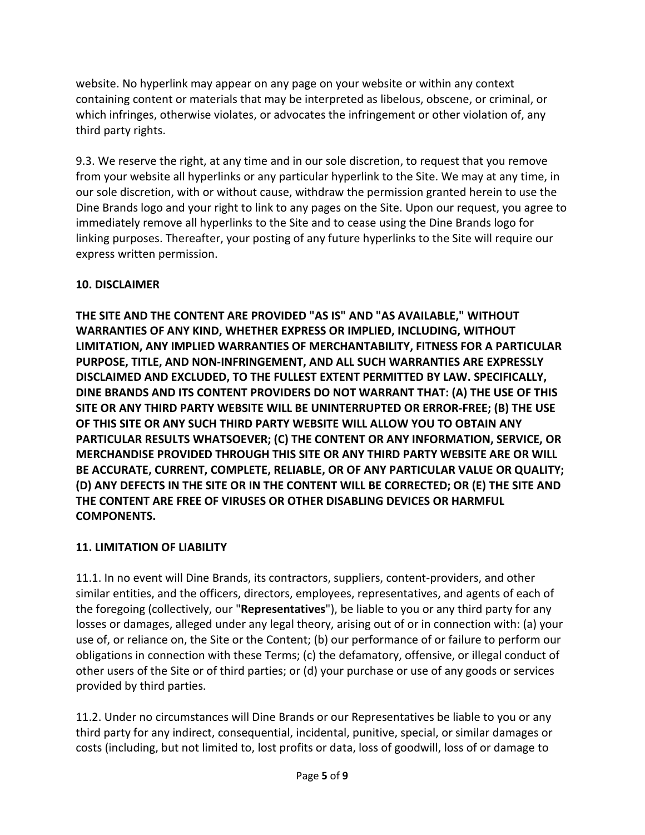website. No hyperlink may appear on any page on your website or within any context containing content or materials that may be interpreted as libelous, obscene, or criminal, or which infringes, otherwise violates, or advocates the infringement or other violation of, any third party rights.

9.3. We reserve the right, at any time and in our sole discretion, to request that you remove from your website all hyperlinks or any particular hyperlink to the Site. We may at any time, in our sole discretion, with or without cause, withdraw the permission granted herein to use the Dine Brands logo and your right to link to any pages on the Site. Upon our request, you agree to immediately remove all hyperlinks to the Site and to cease using the Dine Brands logo for linking purposes. Thereafter, your posting of any future hyperlinks to the Site will require our express written permission.

# **10. DISCLAIMER**

**THE SITE AND THE CONTENT ARE PROVIDED "AS IS" AND "AS AVAILABLE," WITHOUT WARRANTIES OF ANY KIND, WHETHER EXPRESS OR IMPLIED, INCLUDING, WITHOUT LIMITATION, ANY IMPLIED WARRANTIES OF MERCHANTABILITY, FITNESS FOR A PARTICULAR PURPOSE, TITLE, AND NON-INFRINGEMENT, AND ALL SUCH WARRANTIES ARE EXPRESSLY DISCLAIMED AND EXCLUDED, TO THE FULLEST EXTENT PERMITTED BY LAW. SPECIFICALLY, DINE BRANDS AND ITS CONTENT PROVIDERS DO NOT WARRANT THAT: (A) THE USE OF THIS SITE OR ANY THIRD PARTY WEBSITE WILL BE UNINTERRUPTED OR ERROR-FREE; (B) THE USE OF THIS SITE OR ANY SUCH THIRD PARTY WEBSITE WILL ALLOW YOU TO OBTAIN ANY PARTICULAR RESULTS WHATSOEVER; (C) THE CONTENT OR ANY INFORMATION, SERVICE, OR MERCHANDISE PROVIDED THROUGH THIS SITE OR ANY THIRD PARTY WEBSITE ARE OR WILL BE ACCURATE, CURRENT, COMPLETE, RELIABLE, OR OF ANY PARTICULAR VALUE OR QUALITY; (D) ANY DEFECTS IN THE SITE OR IN THE CONTENT WILL BE CORRECTED; OR (E) THE SITE AND THE CONTENT ARE FREE OF VIRUSES OR OTHER DISABLING DEVICES OR HARMFUL COMPONENTS.**

# **11. LIMITATION OF LIABILITY**

11.1. In no event will Dine Brands, its contractors, suppliers, content-providers, and other similar entities, and the officers, directors, employees, representatives, and agents of each of the foregoing (collectively, our "**Representatives**"), be liable to you or any third party for any losses or damages, alleged under any legal theory, arising out of or in connection with: (a) your use of, or reliance on, the Site or the Content; (b) our performance of or failure to perform our obligations in connection with these Terms; (c) the defamatory, offensive, or illegal conduct of other users of the Site or of third parties; or (d) your purchase or use of any goods or services provided by third parties.

11.2. Under no circumstances will Dine Brands or our Representatives be liable to you or any third party for any indirect, consequential, incidental, punitive, special, or similar damages or costs (including, but not limited to, lost profits or data, loss of goodwill, loss of or damage to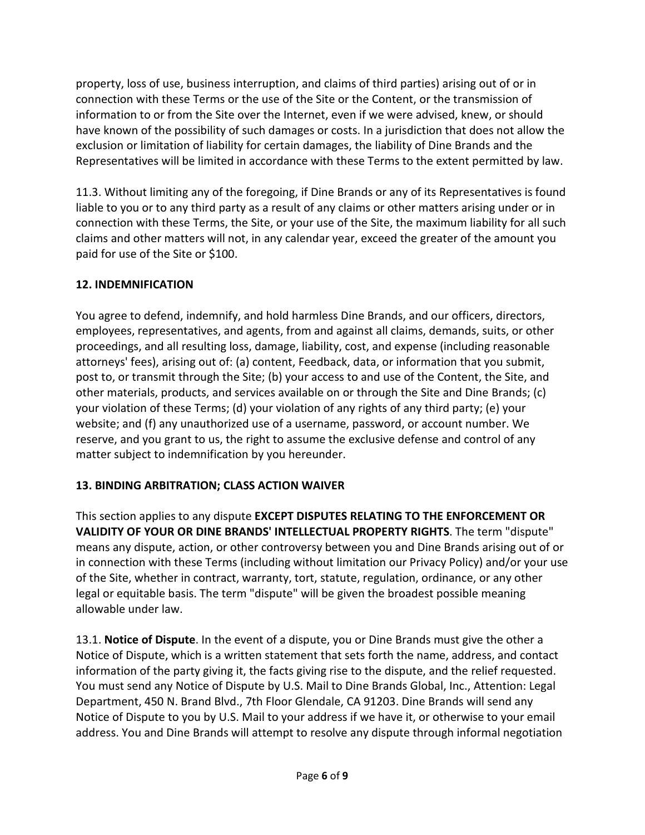property, loss of use, business interruption, and claims of third parties) arising out of or in connection with these Terms or the use of the Site or the Content, or the transmission of information to or from the Site over the Internet, even if we were advised, knew, or should have known of the possibility of such damages or costs. In a jurisdiction that does not allow the exclusion or limitation of liability for certain damages, the liability of Dine Brands and the Representatives will be limited in accordance with these Terms to the extent permitted by law.

11.3. Without limiting any of the foregoing, if Dine Brands or any of its Representatives is found liable to you or to any third party as a result of any claims or other matters arising under or in connection with these Terms, the Site, or your use of the Site, the maximum liability for all such claims and other matters will not, in any calendar year, exceed the greater of the amount you paid for use of the Site or \$100.

# **12. INDEMNIFICATION**

You agree to defend, indemnify, and hold harmless Dine Brands, and our officers, directors, employees, representatives, and agents, from and against all claims, demands, suits, or other proceedings, and all resulting loss, damage, liability, cost, and expense (including reasonable attorneys' fees), arising out of: (a) content, Feedback, data, or information that you submit, post to, or transmit through the Site; (b) your access to and use of the Content, the Site, and other materials, products, and services available on or through the Site and Dine Brands; (c) your violation of these Terms; (d) your violation of any rights of any third party; (e) your website; and (f) any unauthorized use of a username, password, or account number. We reserve, and you grant to us, the right to assume the exclusive defense and control of any matter subject to indemnification by you hereunder.

# **13. BINDING ARBITRATION; CLASS ACTION WAIVER**

This section applies to any dispute **EXCEPT DISPUTES RELATING TO THE ENFORCEMENT OR VALIDITY OF YOUR OR DINE BRANDS' INTELLECTUAL PROPERTY RIGHTS**. The term "dispute" means any dispute, action, or other controversy between you and Dine Brands arising out of or in connection with these Terms (including without limitation our Privacy Policy) and/or your use of the Site, whether in contract, warranty, tort, statute, regulation, ordinance, or any other legal or equitable basis. The term "dispute" will be given the broadest possible meaning allowable under law.

13.1. **Notice of Dispute**. In the event of a dispute, you or Dine Brands must give the other a Notice of Dispute, which is a written statement that sets forth the name, address, and contact information of the party giving it, the facts giving rise to the dispute, and the relief requested. You must send any Notice of Dispute by U.S. Mail to Dine Brands Global, Inc., Attention: Legal Department, 450 N. Brand Blvd., 7th Floor Glendale, CA 91203. Dine Brands will send any Notice of Dispute to you by U.S. Mail to your address if we have it, or otherwise to your email address. You and Dine Brands will attempt to resolve any dispute through informal negotiation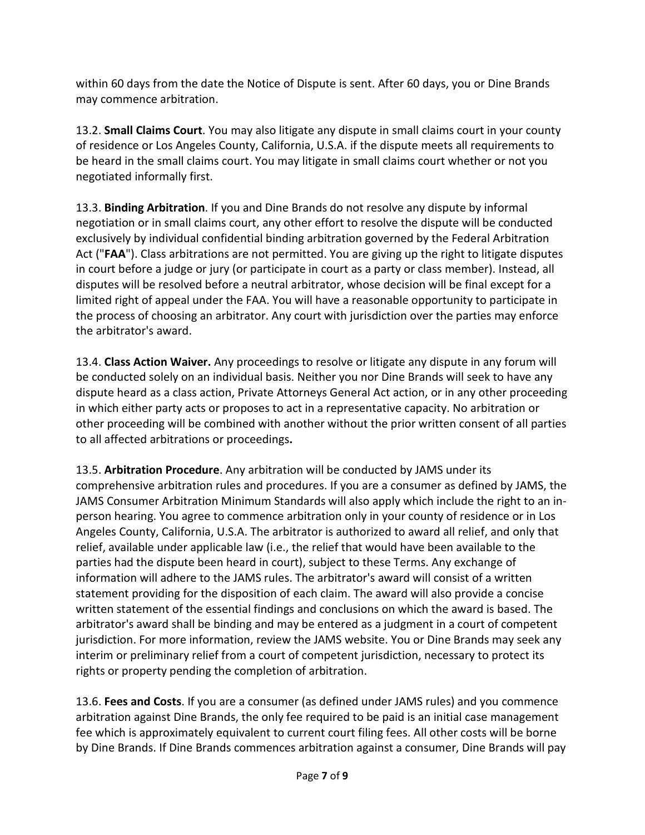within 60 days from the date the Notice of Dispute is sent. After 60 days, you or Dine Brands may commence arbitration.

13.2. **Small Claims Court**. You may also litigate any dispute in small claims court in your county of residence or Los Angeles County, California, U.S.A. if the dispute meets all requirements to be heard in the small claims court. You may litigate in small claims court whether or not you negotiated informally first.

13.3. **Binding Arbitration**. If you and Dine Brands do not resolve any dispute by informal negotiation or in small claims court, any other effort to resolve the dispute will be conducted exclusively by individual confidential binding arbitration governed by the Federal Arbitration Act ("**FAA**"). Class arbitrations are not permitted. You are giving up the right to litigate disputes in court before a judge or jury (or participate in court as a party or class member). Instead, all disputes will be resolved before a neutral arbitrator, whose decision will be final except for a limited right of appeal under the FAA. You will have a reasonable opportunity to participate in the process of choosing an arbitrator. Any court with jurisdiction over the parties may enforce the arbitrator's award.

13.4. **Class Action Waiver.** Any proceedings to resolve or litigate any dispute in any forum will be conducted solely on an individual basis. Neither you nor Dine Brands will seek to have any dispute heard as a class action, Private Attorneys General Act action, or in any other proceeding in which either party acts or proposes to act in a representative capacity. No arbitration or other proceeding will be combined with another without the prior written consent of all parties to all affected arbitrations or proceedings**.**

13.5. **Arbitration Procedure**. Any arbitration will be conducted by JAMS under its comprehensive arbitration rules and procedures. If you are a consumer as defined by JAMS, the JAMS Consumer Arbitration Minimum Standards will also apply which include the right to an inperson hearing. You agree to commence arbitration only in your county of residence or in Los Angeles County, California, U.S.A. The arbitrator is authorized to award all relief, and only that relief, available under applicable law (i.e., the relief that would have been available to the parties had the dispute been heard in court), subject to these Terms. Any exchange of information will adhere to the JAMS rules. The arbitrator's award will consist of a written statement providing for the disposition of each claim. The award will also provide a concise written statement of the essential findings and conclusions on which the award is based. The arbitrator's award shall be binding and may be entered as a judgment in a court of competent jurisdiction. For more information, review the JAMS website. You or Dine Brands may seek any interim or preliminary relief from a court of competent jurisdiction, necessary to protect its rights or property pending the completion of arbitration.

13.6. **Fees and Costs**. If you are a consumer (as defined under JAMS rules) and you commence arbitration against Dine Brands, the only fee required to be paid is an initial case management fee which is approximately equivalent to current court filing fees. All other costs will be borne by Dine Brands. If Dine Brands commences arbitration against a consumer, Dine Brands will pay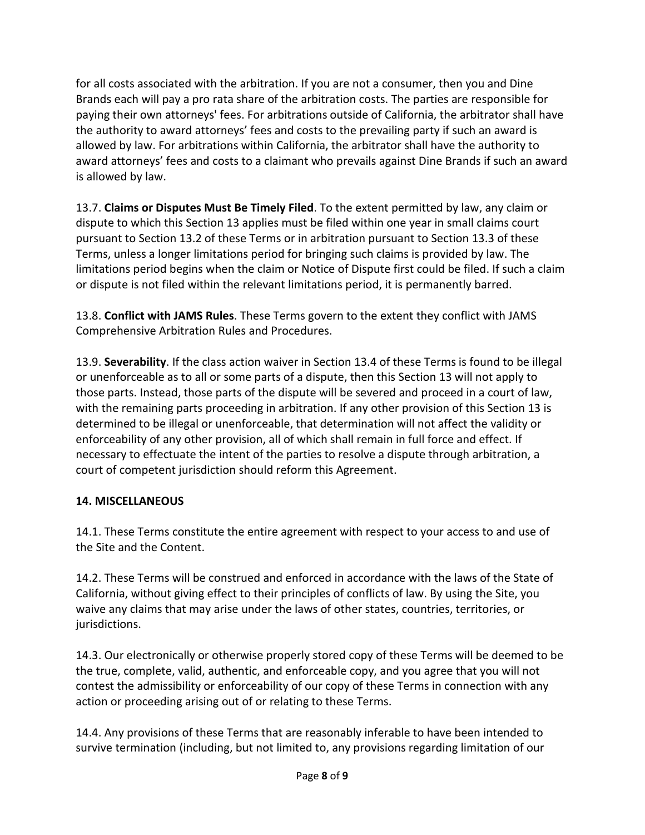for all costs associated with the arbitration. If you are not a consumer, then you and Dine Brands each will pay a pro rata share of the arbitration costs. The parties are responsible for paying their own attorneys' fees. For arbitrations outside of California, the arbitrator shall have the authority to award attorneys' fees and costs to the prevailing party if such an award is allowed by law. For arbitrations within California, the arbitrator shall have the authority to award attorneys' fees and costs to a claimant who prevails against Dine Brands if such an award is allowed by law.

13.7. **Claims or Disputes Must Be Timely Filed**. To the extent permitted by law, any claim or dispute to which this Section 13 applies must be filed within one year in small claims court pursuant to Section 13.2 of these Terms or in arbitration pursuant to Section 13.3 of these Terms, unless a longer limitations period for bringing such claims is provided by law. The limitations period begins when the claim or Notice of Dispute first could be filed. If such a claim or dispute is not filed within the relevant limitations period, it is permanently barred.

13.8. **Conflict with JAMS Rules**. These Terms govern to the extent they conflict with JAMS Comprehensive Arbitration Rules and Procedures.

13.9. **Severability**. If the class action waiver in Section 13.4 of these Terms is found to be illegal or unenforceable as to all or some parts of a dispute, then this Section 13 will not apply to those parts. Instead, those parts of the dispute will be severed and proceed in a court of law, with the remaining parts proceeding in arbitration. If any other provision of this Section 13 is determined to be illegal or unenforceable, that determination will not affect the validity or enforceability of any other provision, all of which shall remain in full force and effect. If necessary to effectuate the intent of the parties to resolve a dispute through arbitration, a court of competent jurisdiction should reform this Agreement.

# **14. MISCELLANEOUS**

14.1. These Terms constitute the entire agreement with respect to your access to and use of the Site and the Content.

14.2. These Terms will be construed and enforced in accordance with the laws of the State of California, without giving effect to their principles of conflicts of law. By using the Site, you waive any claims that may arise under the laws of other states, countries, territories, or jurisdictions.

14.3. Our electronically or otherwise properly stored copy of these Terms will be deemed to be the true, complete, valid, authentic, and enforceable copy, and you agree that you will not contest the admissibility or enforceability of our copy of these Terms in connection with any action or proceeding arising out of or relating to these Terms.

14.4. Any provisions of these Terms that are reasonably inferable to have been intended to survive termination (including, but not limited to, any provisions regarding limitation of our